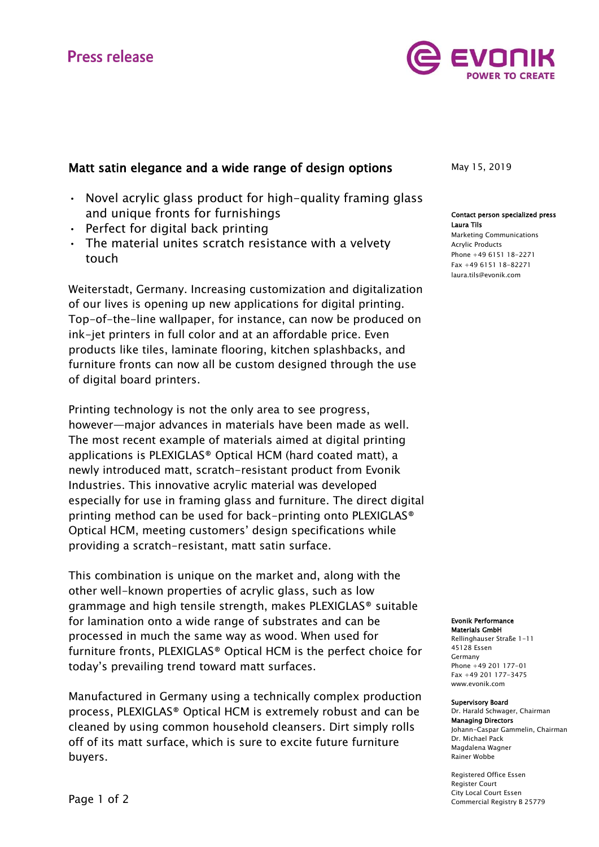# **Press release**



# Matt satin elegance and a wide range of design options

- Novel acrylic glass product for high-quality framing glass and unique fronts for furnishings
- Perfect for digital back printing
- The material unites scratch resistance with a velvety touch

Weiterstadt, Germany. Increasing customization and digitalization of our lives is opening up new applications for digital printing. Top-of-the-line wallpaper, for instance, can now be produced on ink-jet printers in full color and at an affordable price. Even products like tiles, laminate flooring, kitchen splashbacks, and furniture fronts can now all be custom designed through the use of digital board printers.

Printing technology is not the only area to see progress, however—major advances in materials have been made as well. The most recent example of materials aimed at digital printing applications is PLEXIGLAS® Optical HCM (hard coated matt), a newly introduced matt, scratch-resistant product from Evonik Industries. This innovative acrylic material was developed especially for use in framing glass and furniture. The direct digital printing method can be used for back-printing onto PLEXIGLAS® Optical HCM, meeting customers' design specifications while providing a scratch-resistant, matt satin surface.

This combination is unique on the market and, along with the other well-known properties of acrylic glass, such as low grammage and high tensile strength, makes PLEXIGLAS® suitable for lamination onto a wide range of substrates and can be processed in much the same way as wood. When used for furniture fronts, PLEXIGLAS® Optical HCM is the perfect choice for today's prevailing trend toward matt surfaces.

Manufactured in Germany using a technically complex production process, PLEXIGLAS® Optical HCM is extremely robust and can be cleaned by using common household cleansers. Dirt simply rolls off of its matt surface, which is sure to excite future furniture buyers.

May 15, 2019

#### Contact person specialized press Laura Tils

Marketing Communications Acrylic Products Phone +49 6151 18-2271 Fax +49 6151 18-82271 laura.tils@evonik.com

Evonik Performance Materials GmbH

Rellinghauser Straße 1-11 45128 Essen Germany Phone +49 201 177-01 Fax +49 201 177-3475 [www.evonik.com](http://www.evonik.com/)

#### Supervisory Board

Dr. Harald Schwager, Chairman Managing Directors Johann-Caspar Gammelin, Chairman Dr. Michael Pack Magdalena Wagner Rainer Wobbe

Registered Office Essen Register Court City Local Court Essen Commercial Registry B 25779